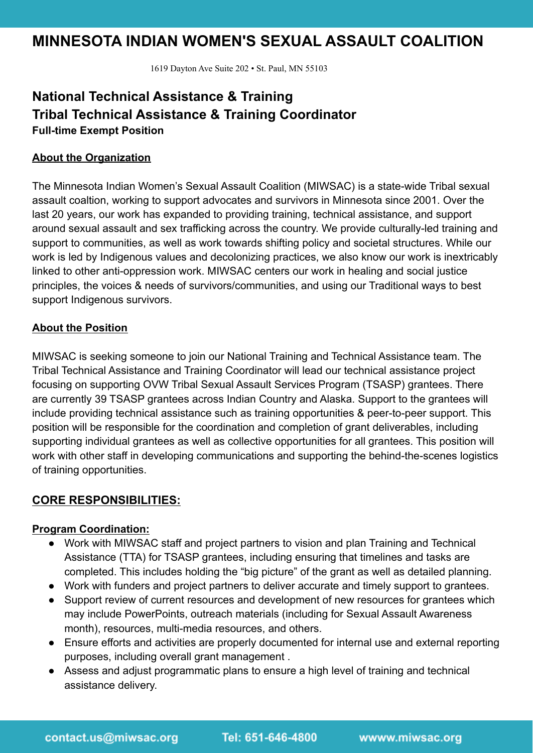# **MINNESOTA INDIAN WOMEN'S SEXUAL ASSAULT COALITION**

1619 Dayton Ave Suite 202 • St. Paul, MN 55103

## **National Technical Assistance & Training Tribal Technical Assistance & Training Coordinator Full-time Exempt Position**

#### **About the Organization**

The Minnesota Indian Women's Sexual Assault Coalition (MIWSAC) is a state-wide Tribal sexual assault coaltion, working to support advocates and survivors in Minnesota since 2001. Over the last 20 years, our work has expanded to providing training, technical assistance, and support around sexual assault and sex trafficking across the country. We provide culturally-led training and support to communities, as well as work towards shifting policy and societal structures. While our work is led by Indigenous values and decolonizing practices, we also know our work is inextricably linked to other anti-oppression work. MIWSAC centers our work in healing and social justice principles, the voices & needs of survivors/communities, and using our Traditional ways to best support Indigenous survivors.

#### **About the Position**

MIWSAC is seeking someone to join our National Training and Technical Assistance team. The Tribal Technical Assistance and Training Coordinator will lead our technical assistance project focusing on supporting OVW Tribal Sexual Assault Services Program (TSASP) grantees. There are currently 39 TSASP grantees across Indian Country and Alaska. Support to the grantees will include providing technical assistance such as training opportunities & peer-to-peer support. This position will be responsible for the coordination and completion of grant deliverables, including supporting individual grantees as well as collective opportunities for all grantees. This position will work with other staff in developing communications and supporting the behind-the-scenes logistics of training opportunities.

## **CORE RESPONSIBILITIES:**

#### **Program Coordination:**

- Work with MIWSAC staff and project partners to vision and plan Training and Technical Assistance (TTA) for TSASP grantees, including ensuring that timelines and tasks are completed. This includes holding the "big picture" of the grant as well as detailed planning.
- Work with funders and project partners to deliver accurate and timely support to grantees.
- Support review of current resources and development of new resources for grantees which may include PowerPoints, outreach materials (including for Sexual Assault Awareness month), resources, multi-media resources, and others.
- Ensure efforts and activities are properly documented for internal use and external reporting purposes, including overall grant management .
- Assess and adjust programmatic plans to ensure a high level of training and technical assistance delivery.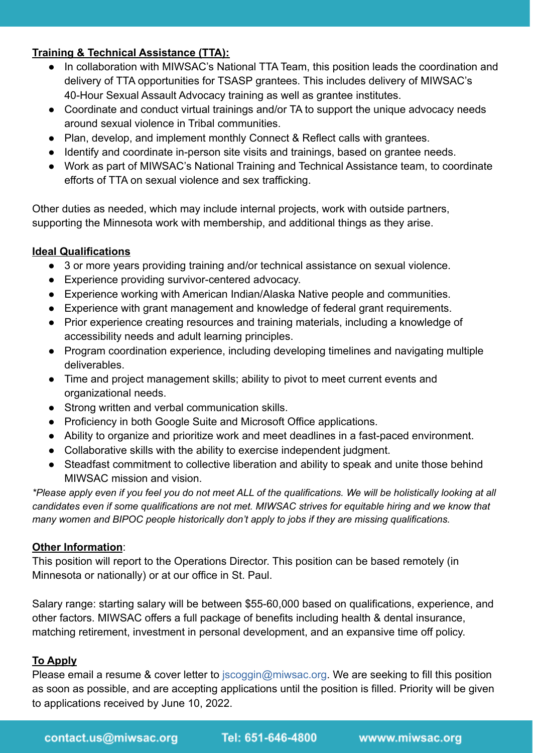## **Training & Technical Assistance (TTA):**

- In collaboration with MIWSAC's National TTA Team, this position leads the coordination and delivery of TTA opportunities for TSASP grantees. This includes delivery of MIWSAC's 40-Hour Sexual Assault Advocacy training as well as grantee institutes.
- Coordinate and conduct virtual trainings and/or TA to support the unique advocacy needs around sexual violence in Tribal communities.
- Plan, develop, and implement monthly Connect & Reflect calls with grantees.
- Identify and coordinate in-person site visits and trainings, based on grantee needs.
- Work as part of MIWSAC's National Training and Technical Assistance team, to coordinate efforts of TTA on sexual violence and sex trafficking.

Other duties as needed, which may include internal projects, work with outside partners, supporting the Minnesota work with membership, and additional things as they arise.

## **Ideal Qualifications**

- 3 or more years providing training and/or technical assistance on sexual violence.
- Experience providing survivor-centered advocacy.
- Experience working with American Indian/Alaska Native people and communities.
- Experience with grant management and knowledge of federal grant requirements.
- Prior experience creating resources and training materials, including a knowledge of accessibility needs and adult learning principles.
- Program coordination experience, including developing timelines and navigating multiple deliverables.
- Time and project management skills; ability to pivot to meet current events and organizational needs.
- Strong written and verbal communication skills.
- Proficiency in both Google Suite and Microsoft Office applications.
- Ability to organize and prioritize work and meet deadlines in a fast-paced environment.
- Collaborative skills with the ability to exercise independent judgment.
- Steadfast commitment to collective liberation and ability to speak and unite those behind MIWSAC mission and vision.

*\*Please apply even if you feel you do not meet ALL of the qualifications. We will be holistically looking at all candidates even if some qualifications are not met. MIWSAC strives for equitable hiring and we know that many women and BIPOC people historically don't apply to jobs if they are missing qualifications.*

## **Other Information**:

This position will report to the Operations Director. This position can be based remotely (in Minnesota or nationally) or at our office in St. Paul.

Salary range: starting salary will be between \$55-60,000 based on qualifications, experience, and other factors. MIWSAC offers a full package of benefits including health & dental insurance, matching retirement, investment in personal development, and an expansive time off policy.

## **To Apply**

Please email a resume & cover letter to *jscoggin@miwsac.org*. We are seeking to fill this position as soon as possible, and are accepting applications until the position is filled. Priority will be given to applications received by June 10, 2022.

Tel: 651-646-4800